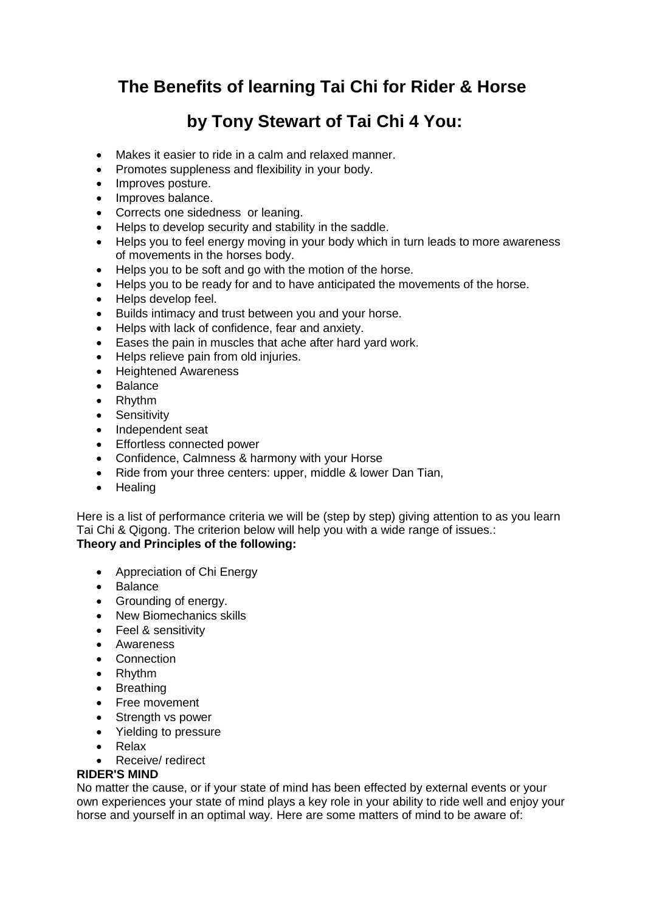## **The Benefits of learning Tai Chi for Rider & Horse**

# **by Tony Stewart of Tai Chi 4 You:**

- Makes it easier to ride in a calm and relaxed manner.
- Promotes suppleness and flexibility in your body.
- Improves posture.
- Improves balance.
- Corrects one sidedness or leaning.
- Helps to develop security and stability in the saddle.
- Helps you to feel energy moving in your body which in turn leads to more awareness of movements in the horses body.
- Helps you to be soft and go with the motion of the horse.
- Helps you to be ready for and to have anticipated the movements of the horse.
- Helps develop feel.
- Builds intimacy and trust between you and your horse.
- Helps with lack of confidence, fear and anxiety.
- Eases the pain in muscles that ache after hard yard work.
- Helps relieve pain from old injuries.
- Heightened Awareness
- Balance
- Rhythm
- Sensitivity
- Independent seat
- Effortless connected power
- Confidence, Calmness & harmony with your Horse
- Ride from your three centers: upper, middle & lower Dan Tian,
- Healing

Here is a list of performance criteria we will be (step by step) giving attention to as you learn Tai Chi & Qigong. The criterion below will help you with a wide range of issues.: **Theory and Principles of the following:**

- Appreciation of Chi Energy
- Balance
- Grounding of energy.
- New Biomechanics skills
- Feel & sensitivity
- Awareness
- Connection
- Rhythm
- Breathing
- Free movement
- Strength vs power
- Yielding to pressure
- Relax
- Receive/ redirect

#### **RIDER'S MIND**

No matter the cause, or if your state of mind has been effected by external events or your own experiences your state of mind plays a key role in your ability to ride well and enjoy your horse and yourself in an optimal way. Here are some matters of mind to be aware of: